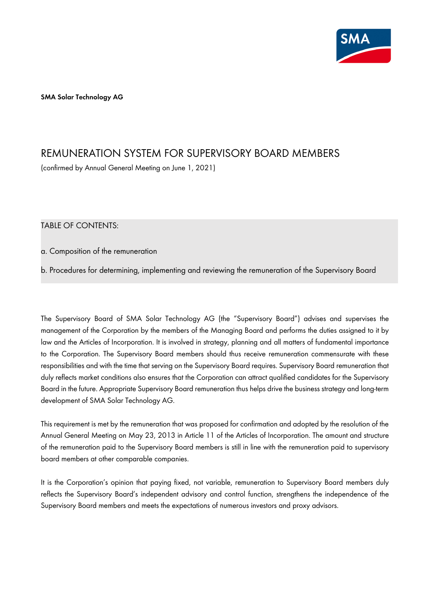

**SMA Solar Technology AG** 

# REMUNERATION SYSTEM FOR SUPERVISORY BOARD MEMBERS

(confirmed by Annual General Meeting on June 1, 2021)

TABLE OF CONTENTS:

a. Composition of the remuneration

b. Procedures for determining, implementing and reviewing the remuneration of the Supervisory Board

The Supervisory Board of SMA Solar Technology AG (the "Supervisory Board") advises and supervises the management of the Corporation by the members of the Managing Board and performs the duties assigned to it by law and the Articles of Incorporation. It is involved in strategy, planning and all matters of fundamental importance to the Corporation. The Supervisory Board members should thus receive remuneration commensurate with these responsibilities and with the time that serving on the Supervisory Board requires. Supervisory Board remuneration that duly reflects market conditions also ensures that the Corporation can attract qualified candidates for the Supervisory Board in the future. Appropriate Supervisory Board remuneration thus helps drive the business strategy and long-term development of SMA Solar Technology AG.

This requirement is met by the remuneration that was proposed for confirmation and adopted by the resolution of the Annual General Meeting on May 23, 2013 in Article 11 of the Articles of Incorporation. The amount and structure of the remuneration paid to the Supervisory Board members is still in line with the remuneration paid to supervisory board members at other comparable companies.

It is the Corporation's opinion that paying fixed, not variable, remuneration to Supervisory Board members duly reflects the Supervisory Board's independent advisory and control function, strengthens the independence of the Supervisory Board members and meets the expectations of numerous investors and proxy advisors.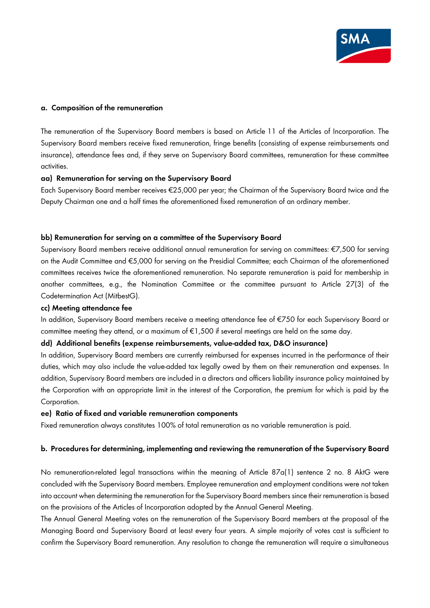

## **a. Composition of the remuneration**

The remuneration of the Supervisory Board members is based on Article 11 of the Articles of Incorporation. The Supervisory Board members receive fixed remuneration, fringe benefits (consisting of expense reimbursements and insurance), attendance fees and, if they serve on Supervisory Board committees, remuneration for these committee activities.

#### **aa) Remuneration for serving on the Supervisory Board**

Each Supervisory Board member receives €25,000 per year; the Chairman of the Supervisory Board twice and the Deputy Chairman one and a half times the aforementioned fixed remuneration of an ordinary member.

#### **bb) Remuneration for serving on a committee of the Supervisory Board**

Supervisory Board members receive additional annual remuneration for serving on committees: €7,500 for serving on the Audit Committee and €5,000 for serving on the Presidial Committee; each Chairman of the aforementioned committees receives twice the aforementioned remuneration. No separate remuneration is paid for membership in another committees, e.g., the Nomination Committee or the committee pursuant to Article 27(3) of the Codetermination Act (MitbestG).

#### **cc) Meeting attendance fee**

In addition, Supervisory Board members receive a meeting attendance fee of €750 for each Supervisory Board or committee meeting they attend, or a maximum of €1,500 if several meetings are held on the same day.

# **dd) Additional benefits (expense reimbursements, value-added tax, D&O insurance)**

In addition, Supervisory Board members are currently reimbursed for expenses incurred in the performance of their duties, which may also include the value-added tax legally owed by them on their remuneration and expenses. In addition, Supervisory Board members are included in a directors and officers liability insurance policy maintained by the Corporation with an appropriate limit in the interest of the Corporation, the premium for which is paid by the Corporation.

#### **ee) Ratio of fixed and variable remuneration components**

Fixed remuneration always constitutes 100% of total remuneration as no variable remuneration is paid.

## **b. Procedures for determining, implementing and reviewing the remuneration of the Supervisory Board**

No remuneration-related legal transactions within the meaning of Article 87a(1) sentence 2 no. 8 AktG were concluded with the Supervisory Board members. Employee remuneration and employment conditions were not taken into account when determining the remuneration for the Supervisory Board members since their remuneration is based on the provisions of the Articles of Incorporation adopted by the Annual General Meeting.

The Annual General Meeting votes on the remuneration of the Supervisory Board members at the proposal of the Managing Board and Supervisory Board at least every four years. A simple majority of votes cast is sufficient to confirm the Supervisory Board remuneration. Any resolution to change the remuneration will require a simultaneous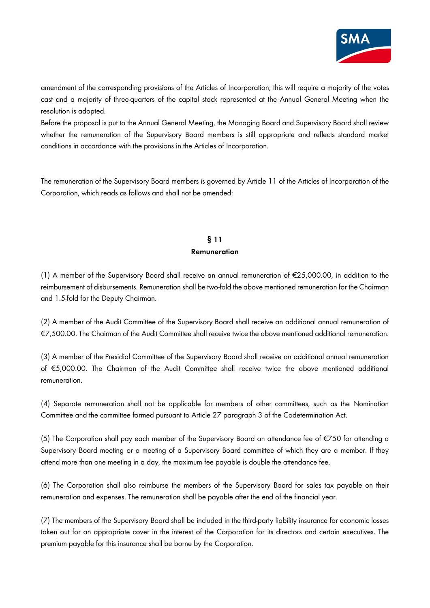

amendment of the corresponding provisions of the Articles of Incorporation; this will require a majority of the votes cast and a majority of three-quarters of the capital stock represented at the Annual General Meeting when the resolution is adopted.

Before the proposal is put to the Annual General Meeting, the Managing Board and Supervisory Board shall review whether the remuneration of the Supervisory Board members is still appropriate and reflects standard market conditions in accordance with the provisions in the Articles of Incorporation.

The remuneration of the Supervisory Board members is governed by Article 11 of the Articles of Incorporation of the Corporation, which reads as follows and shall not be amended:

# **§ 11 Remuneration**

(1) A member of the Supervisory Board shall receive an annual remuneration of €25,000.00, in addition to the reimbursement of disbursements. Remuneration shall be two-fold the above mentioned remuneration for the Chairman and 1.5-fold for the Deputy Chairman.

(2) A member of the Audit Committee of the Supervisory Board shall receive an additional annual remuneration of €7,500.00. The Chairman of the Audit Committee shall receive twice the above mentioned additional remuneration.

(3) A member of the Presidial Committee of the Supervisory Board shall receive an additional annual remuneration of €5,000.00. The Chairman of the Audit Committee shall receive twice the above mentioned additional remuneration.

(4) Separate remuneration shall not be applicable for members of other committees, such as the Nomination Committee and the committee formed pursuant to Article 27 paragraph 3 of the Codetermination Act.

(5) The Corporation shall pay each member of the Supervisory Board an attendance fee of €750 for attending a Supervisory Board meeting or a meeting of a Supervisory Board committee of which they are a member. If they attend more than one meeting in a day, the maximum fee payable is double the attendance fee.

(6) The Corporation shall also reimburse the members of the Supervisory Board for sales tax payable on their remuneration and expenses. The remuneration shall be payable after the end of the financial year.

(7) The members of the Supervisory Board shall be included in the third-party liability insurance for economic losses taken out for an appropriate cover in the interest of the Corporation for its directors and certain executives. The premium payable for this insurance shall be borne by the Corporation.